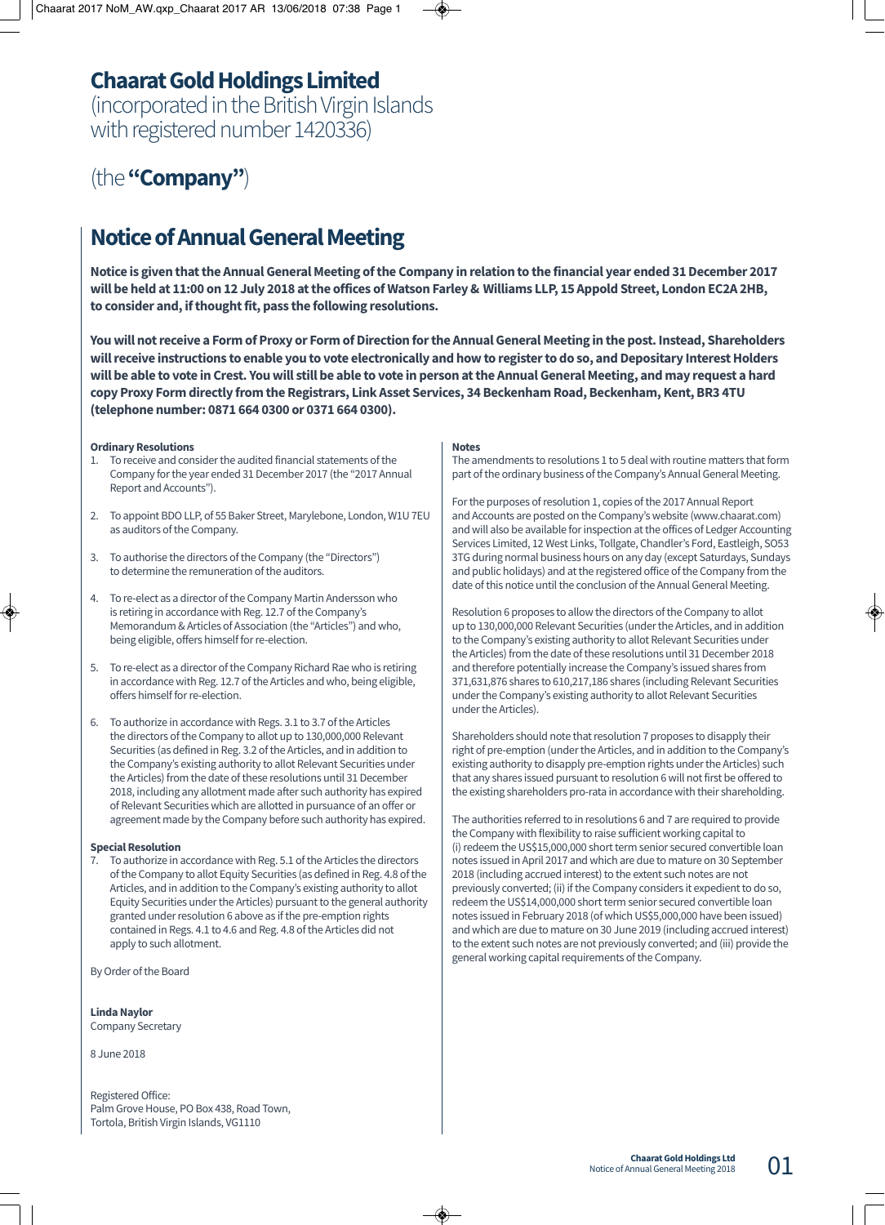# **Chaarat Gold Holdings Limited**

(incorporated in the British Virgin Islands with registered number 1420336)

(the **"Company"**)

## **Notice of Annual General Meeting**

**Notice is given that the Annual General Meeting of the Company in relation to the financial year ended 31 December 2017 will be held at 11:00 on 12 July 2018 at the offices of Watson Farley & Williams LLP, 15 Appold Street, London EC2A 2HB, to consider and, if thought fit, pass the following resolutions.**

**You will not receive a Form of Proxy or Form of Direction for the Annual General Meeting in the post. Instead, Shareholders will receive instructions to enable you to vote electronically and how to register to do so, and Depositary Interest Holders will be able to vote in Crest. You will still be able to vote in person at the Annual General Meeting, and may request a hard copy Proxy Form directly from the Registrars, Link Asset Services, 34 Beckenham Road, Beckenham, Kent, BR3 4TU (telephone number: 0871 664 0300 or 0371 664 0300).**

#### **Ordinary Resolutions**

- 1. To receive and consider the audited financial statements of the Company for the year ended 31 December 2017 (the "2017 Annual Report and Accounts").
- 2. To appoint BDO LLP, of 55 Baker Street, Marylebone, London, W1U 7EU as auditors of the Company.
- 3. To authorise the directors of the Company (the "Directors") to determine the remuneration of the auditors.
- 4. To re-elect as a director of the Company Martin Andersson who is retiring in accordance with Reg. 12.7 of the Company's Memorandum & Articles of Association (the "Articles") and who, being eligible, offers himself for re-election.
- 5. To re-elect as a director of the Company Richard Rae who is retiring in accordance with Reg. 12.7 of the Articles and who, being eligible, offers himself for re-election.
- 6. To authorize in accordance with Regs. 3.1 to 3.7 of the Articles the directors of the Company to allot up to 130,000,000 Relevant Securities (as defined in Reg. 3.2 of the Articles, and in addition to the Company's existing authority to allot Relevant Securities under the Articles) from the date of these resolutions until 31 December 2018, including any allotment made after such authority has expired of Relevant Securities which are allotted in pursuance of an offer or agreement made by the Company before such authority has expired.

#### **Special Resolution**

7. To authorize in accordance with Reg. 5.1 of the Articles the directors of the Company to allot Equity Securities (as defined in Reg. 4.8 of the Articles, and in addition to the Company's existing authority to allot Equity Securities under the Articles) pursuant to the general authority granted under resolution 6 above as if the pre-emption rights contained in Regs. 4.1 to 4.6 and Reg. 4.8 of the Articles did not apply to such allotment.

By Order of the Board

**Linda Naylor** Company Secretary

8 June 2018

Registered Office: Palm Grove House, PO Box 438, Road Town, Tortola, British Virgin Islands, VG1110

#### **Notes**

The amendments to resolutions 1 to 5 deal with routine matters that form part of the ordinary business of the Company's Annual General Meeting.

For the purposes of resolution 1, copies of the 2017 Annual Report and Accounts are posted on the Company's website (www.chaarat.com) and will also be available for inspection at the offices of Ledger Accounting Services Limited, 12 West Links, Tollgate, Chandler's Ford, Eastleigh, SO53 3TG during normal business hours on any day (except Saturdays, Sundays and public holidays) and at the registered office of the Company from the date of this notice until the conclusion of the Annual General Meeting.

Resolution 6 proposes to allow the directors of the Company to allot up to 130,000,000 Relevant Securities (under the Articles, and in addition to the Company's existing authority to allot Relevant Securities under the Articles) from the date of these resolutions until 31 December 2018 and therefore potentially increase the Company's issued shares from 371,631,876 shares to 610,217,186 shares (including Relevant Securities under the Company's existing authority to allot Relevant Securities under the Articles).

Shareholders should note that resolution 7 proposes to disapply their right of pre-emption (under the Articles, and in addition to the Company's existing authority to disapply pre-emption rights under the Articles) such that any shares issued pursuant to resolution 6 will not first be offered to the existing shareholders pro-rata in accordance with their shareholding.

The authorities referred to in resolutions 6 and 7 are required to provide the Company with flexibility to raise sufficient working capital to (i) redeem the US\$15,000,000 short term senior secured convertible loan notes issued in April 2017 and which are due to mature on 30 September 2018 (including accrued interest) to the extent such notes are not previously converted; (ii) if the Company considers it expedient to do so, redeem the US\$14,000,000 short term senior secured convertible loan notes issued in February 2018 (of which US\$5,000,000 have been issued) and which are due to mature on 30 June 2019 (including accrued interest) to the extent such notes are not previously converted; and (iii) provide the general working capital requirements of the Company.